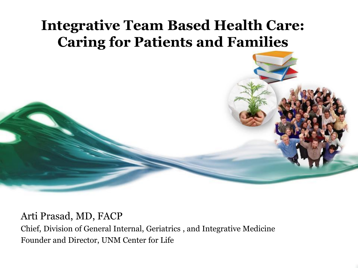## **Integrative Team Based Health Care: Caring for Patients and Families**



Chief, Division of General Internal, Geriatrics , and Integrative Medicine Founder and Director, UNM Center for Life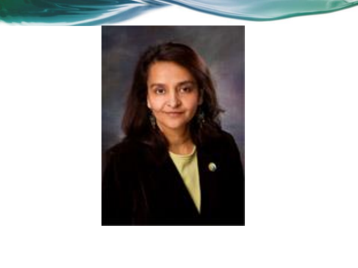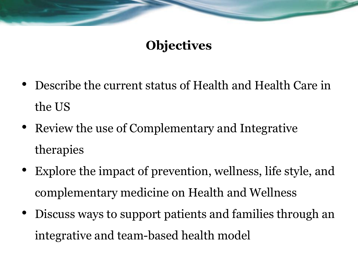## **Objectives**

- Describe the current status of Health and Health Care in the US
- Review the use of Complementary and Integrative therapies
- Explore the impact of prevention, wellness, life style, and complementary medicine on Health and Wellness
- Discuss ways to support patients and families through an integrative and team-based health model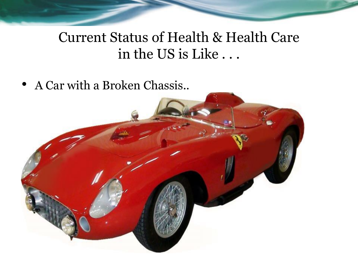## Current Status of Health & Health Care in the US is Like . . .

• A Car with a Broken Chassis..

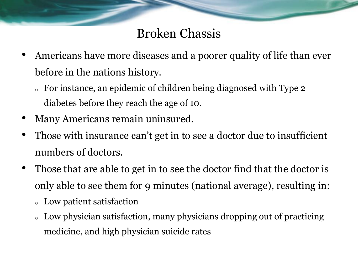### Broken Chassis

- Americans have more diseases and a poorer quality of life than ever before in the nations history.
	- <sup>o</sup> For instance, an epidemic of children being diagnosed with Type 2 diabetes before they reach the age of 10.
- Many Americans remain uninsured.
- Those with insurance can't get in to see a doctor due to insufficient numbers of doctors.
- Those that are able to get in to see the doctor find that the doctor is only able to see them for 9 minutes (national average), resulting in:
	- <sup>o</sup> Low patient satisfaction
	- <sup>o</sup> Low physician satisfaction, many physicians dropping out of practicing medicine, and high physician suicide rates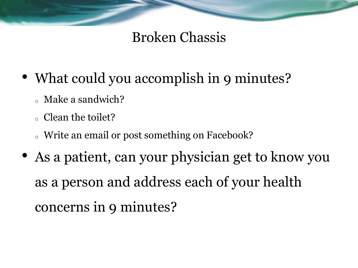## Broken Chassis

- What could you accomplish in 9 minutes?
	- <sup>o</sup> Make a sandwich?
	- <sup>o</sup> Clean the toilet?
	- <sup>o</sup> Write an email or post something on Facebook?
- As a patient, can your physician get to know you as a person and address each of your health concerns in 9 minutes?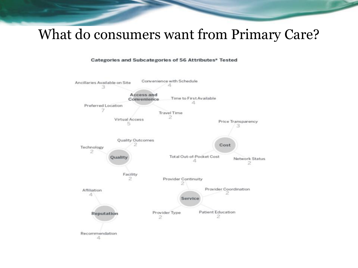## What do consumers want from Primary Care?

#### Categories and Subcategories of 56 Attributes\* Tested

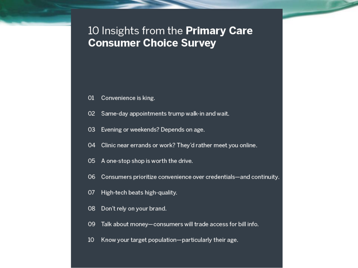#### 10 Insights from the **Primary Care Consumer Choice Survey**

- Convenience is king.  $O<sub>1</sub>$
- 02 Same-day appointments trump walk-in and wait.
- Evening or weekends? Depends on age. 03
- Clinic near errands or work? They'd rather meet you online. 04
- A one-stop shop is worth the drive. 05
- 06 Consumers prioritize convenience over credentials-and continuity.
- 07 High-tech beats high-quality.
- 08 Don't rely on your brand.
- Talk about money-consumers will trade access for bill info. 09
- 10 Know your target population-particularly their age.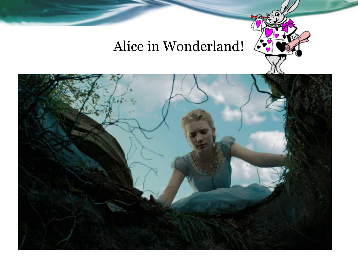## Alice in Wonderland!



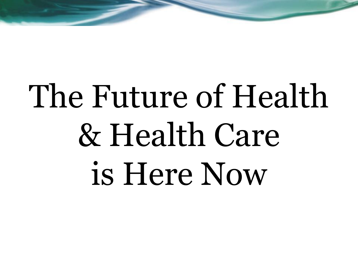## The Future of Health & Health Care is Here Now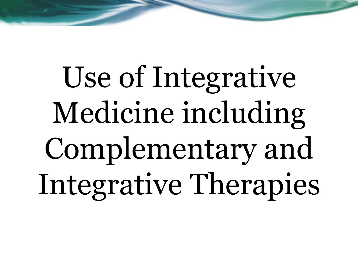Use of Integrative Medicine including Complementary and Integrative Therapies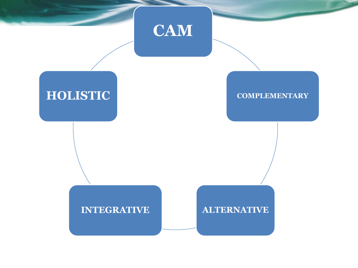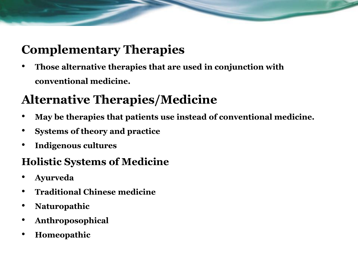## **Complementary Therapies**

• **Those alternative therapies that are used in conjunction with conventional medicine.**

## **Alternative Therapies/Medicine**

- **May be therapies that patients use instead of conventional medicine.**
- **Systems of theory and practice**
- **Indigenous cultures**

#### **Holistic Systems of Medicine**

- **Ayurveda**
- **Traditional Chinese medicine**
- **Naturopathic**
- **Anthroposophical**
- **Homeopathic**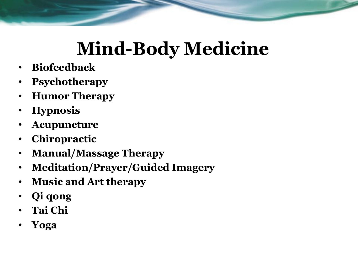## **Mind-Body Medicine**

- **Biofeedback**
- **Psychotherapy**
- **Humor Therapy**
- **Hypnosis**
- **Acupuncture**
- **Chiropractic**
- **Manual/Massage Therapy**
- **Meditation/Prayer/Guided Imagery**
- **Music and Art therapy**
- **Qi qong**
- **Tai Chi**
- **Yoga**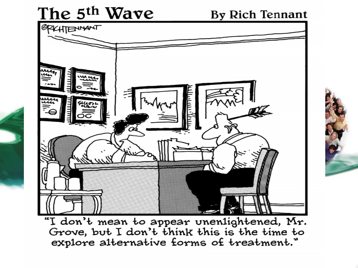

"I don't mean to appear unenlightened, Mr. Grove, but I don't think this is the time to explore alternative forms of treatment."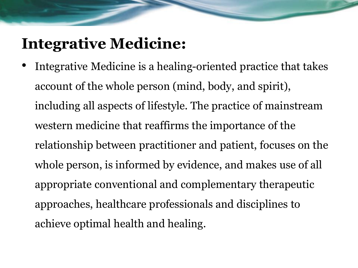## **Integrative Medicine:**

• Integrative Medicine is a healing-oriented practice that takes account of the whole person (mind, body, and spirit), including all aspects of lifestyle. The practice of mainstream western medicine that reaffirms the importance of the relationship between practitioner and patient, focuses on the whole person, is informed by evidence, and makes use of all appropriate conventional and complementary therapeutic approaches, healthcare professionals and disciplines to achieve optimal health and healing.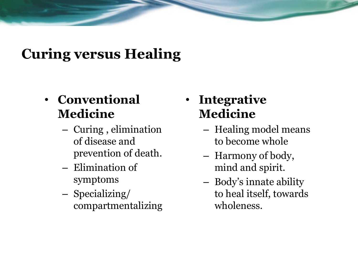## **Curing versus Healing**

## • **Conventional Medicine**

- Curing , elimination of disease and prevention of death.
- Elimination of symptoms
- Specializing/ compartmentalizing
- **Integrative Medicine** 
	- Healing model means to become whole
	- Harmony of body, mind and spirit.
	- Body's innate ability to heal itself, towards wholeness.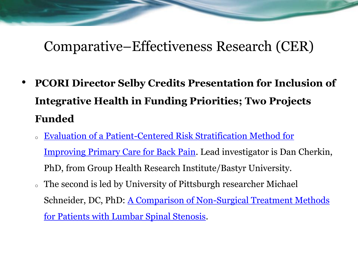## Comparative–Effectiveness Research (CER)

- **PCORI Director Selby Credits Presentation for Inclusion of Integrative Health in Funding Priorities; Two Projects Funded** 
	- <sup>o</sup> Evaluation of a Patient-Centered Risk Stratification Method for [Improving Primary Care for Back Pain. Lead investigator is Dan](http://www.grouphealthresearch.org/news-and-events/newsrel/2012/121221.html) Cherkin, PhD, from Group Health Research Institute/Bastyr University. <sup>o</sup> The second is led by University of Pittsburgh researcher Michael Schneider, DC, PhD: A Comparison of Non-Surgical Treatment Methods for Patients with Lumbar Spinal Stenosis.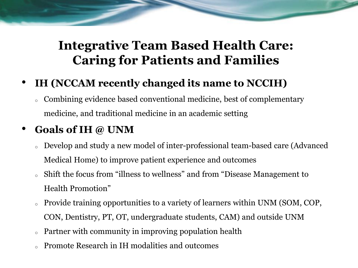## **Integrative Team Based Health Care: Caring for Patients and Families**

#### • **IH (NCCAM recently changed its name to NCCIH)**

<sup>o</sup> Combining evidence based conventional medicine, best of complementary medicine, and traditional medicine in an academic setting

#### • **Goals of IH @ UNM**

- <sup>o</sup> Develop and study a new model of inter-professional team-based care (Advanced Medical Home) to improve patient experience and outcomes
- <sup>o</sup> Shift the focus from "illness to wellness" and from "Disease Management to Health Promotion"
- <sup>o</sup> Provide training opportunities to a variety of learners within UNM (SOM, COP, CON, Dentistry, PT, OT, undergraduate students, CAM) and outside UNM
- <sup>o</sup> Partner with community in improving population health
- <sup>o</sup> Promote Research in IH modalities and outcomes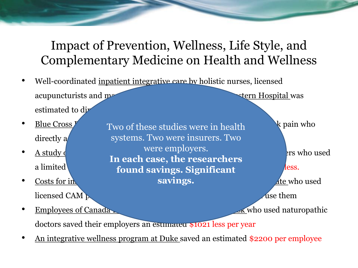## Impact of Prevention, Wellness, Life Style, and Complementary Medicine on Health and Wellness

- Well-coordinated inpatient integrative care by holistic nurses, licensed acupuncturists and massage therapists at Abbott Northwestern Hospital was estimated to diminish
- 
- 
- licensed CAM  $\mu$  is a 1420 less than those was  $\mu$  use them

• Blue Cross Two of these studies were in health **that pain who** directly a systems. Two were insurers. Two • A study of the Netherlands found that patients of general properties who used a limited set of CAM treatment savings. Significant system of the system of the system of the system of the system of the system of the system of the system of the system of the system of the system of the system of the sy • Costs for insured savings. **Savings. Savings. Savings.** *savings. savings.* were employers. **In each case, the researchers** 

- **Employees of Canada** doctors saved their employers an estimated \$1021 less per year
- An integrative wellness program at Duke saved an estimated \$2200 per employee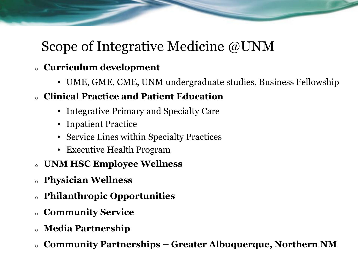## Scope of Integrative Medicine @UNM

#### <sup>o</sup> **Curriculum development**

• UME, GME, CME, UNM undergraduate studies, Business Fellowship

#### <sup>o</sup> **Clinical Practice and Patient Education**

- Integrative Primary and Specialty Care
- Inpatient Practice
- Service Lines within Specialty Practices
- Executive Health Program
- <sup>o</sup> **UNM HSC Employee Wellness**
- <sup>o</sup> **Physician Wellness**
- <sup>o</sup> **Philanthropic Opportunities**
- <sup>o</sup> **Community Service**
- <sup>o</sup> **Media Partnership**
- <sup>o</sup> **Community Partnerships – Greater Albuquerque, Northern NM**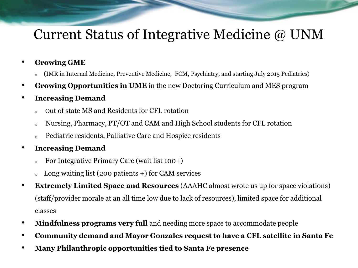## Current Status of Integrative Medicine @ UNM

#### • **Growing GME**

- (IMR in Internal Medicine, Preventive Medicine, FCM, Psychiatry, and starting July 2015 Pediatrics)
- **Growing Opportunities in UME** in the new Doctoring Curriculum and MES program

#### • **Increasing Demand**

- o Out of state MS and Residents for CFL rotation
- <sup>o</sup> Nursing, Pharmacy, PT/OT and CAM and High School students for CFL rotation
- Pediatric residents, Palliative Care and Hospice residents

#### • **Increasing Demand**

- For Integrative Primary Care (wait list  $100+$ )
- Long waiting list (200 patients  $+$ ) for CAM services
- **Extremely Limited Space and Resources** (AAAHC almost wrote us up for space violations) (staff/provider morale at an all time low due to lack of resources), limited space for additional classes
- **Mindfulness programs very full** and needing more space to accommodate people
- **Community demand and Mayor Gonzales request to have a CFL satellite in Santa Fe**
- **Many Philanthropic opportunities tied to Santa Fe presence**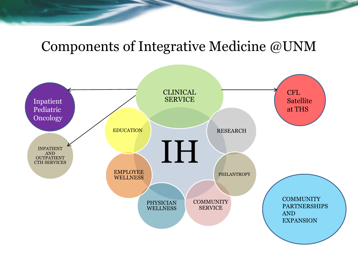## Components of Integrative Medicine @UNM

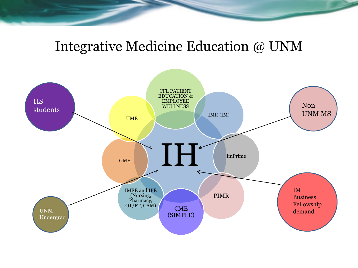## Integrative Medicine Education @ UNM

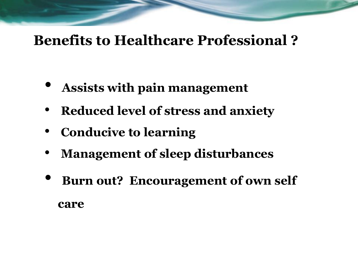## **Benefits to Healthcare Professional ?**

- **Assists with pain management**
- **Reduced level of stress and anxiety**
- **Conducive to learning**
- **Management of sleep disturbances**
- **Burn out? Encouragement of own self care**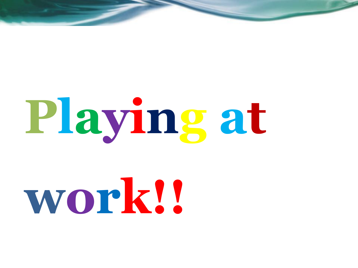# **Playing at**

## **work!!**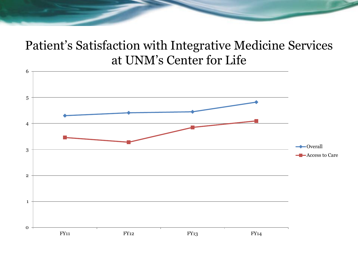### Patient's Satisfaction with Integrative Medicine Services at UNM's Center for Life